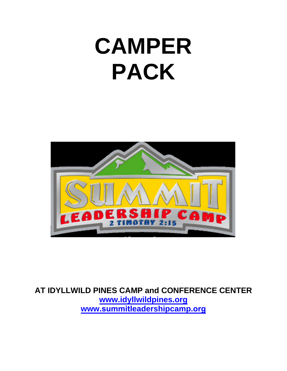# **CAMPER PACK**



**AT IDYLLWILD PINES CAMP and CONFERENCE CENTER [www.idyllwildpines.org](http://www.idyllwildpines.org/) www.summit[leadershipcamp.](http://www.southwesternleadershipcamp.com/)org**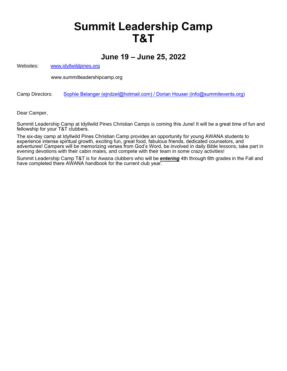# **Summit Leadership Camp T&T**

### **June 19 – June 25, 2022**

Websites: [www.idyllwildpines.org](http://www.idyllwildpines.org/)

[www.summitleadershipcamp.org](http://www.southwesternleadershipcamp.com/)

Camp Directors: Sophie Belanger (ejndz[el@hotmail.com](mailto:swlc@cox.net)) / Dorian Houser (info@summitevents.org)

Dear Camper,

Summit Leadership Camp at Idyllwild Pines Christian Camps is coming this June! It will be a great time of fun and fellowship for your T&T clubbers.

The six-day camp at Idyllwild Pines Christian Camp provides an opportunity for young AWANA students to experience intense spiritual growth, exciting fun, great food, fabulous friends, dedicated counselors, and adventures! Campers will be memorizing verses from God's Word, be involved in daily Bible lessons, take part in evening devotions with their cabin mates, and compete with their team in some crazy activities!

Summit Leadership Camp T&T is for Awana clubbers who will be *entering* 4th through 6th grades in the Fall and have completed there AWANA handbook for the current club year.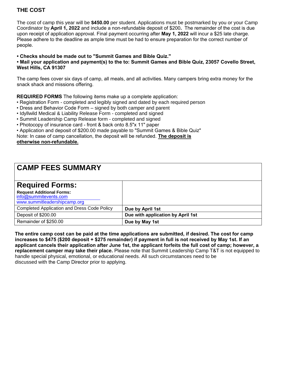### **THE COST**

The cost of camp this year will be **\$450.00** per student. Applications must be postmarked by you or your Camp Coordinator by **April 1, 2022** and include a non-refundable deposit of \$200**.** The remainder of the cost is due upon receipt of application approval. Final payment occurring after **May 1, 2022** will incur a \$25 late charge. Please adhere to the deadline as ample time must be had to ensure preparation for the correct number of people.

**• Checks should be made out to "Summit Games and Bible Quiz."**

**• Mail your application and payment(s) to the to: Summit Games and Bible Quiz, 23057 Covello Street, West Hills, CA 91307**

The camp fees cover six days of camp, all meals, and all activities. Many campers bring extra money for the snack shack and missions offering.

**REQUIRED FORMS** The following items make up a complete application:

- Registration Form completed and legibly signed and dated by each required person
- Dress and Behavior Code Form signed by both camper and parent
- Idyllwild Medical & Liability Release Form completed and signed
- Summit Leadership Camp Release form completed and signed
- Photocopy of insurance card front & back onto 8.5"x 11" paper
- Application and deposit of \$200.00 made payable to "Summit Games & Bible Quiz"

Note: In case of camp cancellation, the deposit will be refunded. **The deposit is**

**otherwise non-refundable.**

# **CAMP FEES SUMMARY Required Forms:**

| <b>Request Additional Forms:</b><br>info@summitevents.com<br>www.summitleadershipcamp.org |                                   |
|-------------------------------------------------------------------------------------------|-----------------------------------|
| <b>Completed Application and Dress Code Policy</b>                                        | Due by April 1st                  |
| Deposit of \$200.00                                                                       | Due with application by April 1st |
| Remainder of \$250.00                                                                     | Due by May 1st                    |

**The entire camp cost can be paid at the time applications are submitted, if desired. The cost for camp increases to \$475 (\$200 deposit + \$275 remainder) if payment in full is not received by May 1st. If an applicant cancels their application after June 1st, the applicant forfeits the full cost of camp; however, a replacement camper may take their place.** Please note that Summit Leadership Camp T&T is not equipped to handle special physical, emotional, or educational needs. All such circumstances need to be discussed with the Camp Director prior to applying.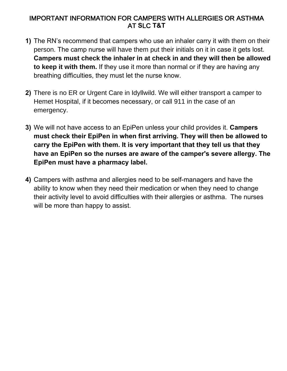### IMPORTANT INFORMATION FOR CAMPERS WITH ALLERGIES OR ASTHMA AT **S**LC **T&T**

- **1)** The RN's recommend that campers who use an inhaler carry it with them on their person. The camp nurse will have them put their initials on it in case it gets lost. **Campers must check the inhaler in at check in and they will then be allowed to keep it with them.** If they use it more than normal or if they are having any breathing difficulties, they must let the nurse know.
- **2)** There is no ER or Urgent Care in Idyllwild. We will either transport a camper to Hemet Hospital, if it becomes necessary, or call 911 in the case of an emergency.
- **3)** We will not have access to an EpiPen unless your child provides it. **Campers must check their EpiPen in when first arriving. They will then be allowed to carry the EpiPen with them. It is very important that they tell us that they have an EpiPen so the nurses are aware of the camper's severe allergy. The EpiPen must have a pharmacy label.**
- **4)** Campers with asthma and allergies need to be self-managers and have the ability to know when they need their medication or when they need to change their activity level to avoid difficulties with their allergies or asthma. The nurses will be more than happy to assist.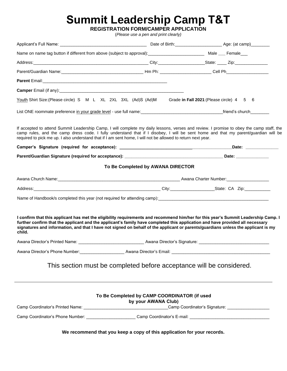# **Summit Leadership Camp T&T**

**REGISTRATION FORM/CAMPER APPLICATION** 

(*Please use a pen and print clearly)* 

| Name on name tag button if different from above (subject to approval): _____________________________ Male ___ Female___                                                                                                                                                                                                                                                                                                                                                                                                               |                                   |                                           |                                                   |
|---------------------------------------------------------------------------------------------------------------------------------------------------------------------------------------------------------------------------------------------------------------------------------------------------------------------------------------------------------------------------------------------------------------------------------------------------------------------------------------------------------------------------------------|-----------------------------------|-------------------------------------------|---------------------------------------------------|
|                                                                                                                                                                                                                                                                                                                                                                                                                                                                                                                                       |                                   |                                           |                                                   |
|                                                                                                                                                                                                                                                                                                                                                                                                                                                                                                                                       |                                   |                                           |                                                   |
|                                                                                                                                                                                                                                                                                                                                                                                                                                                                                                                                       |                                   |                                           |                                                   |
|                                                                                                                                                                                                                                                                                                                                                                                                                                                                                                                                       |                                   |                                           |                                                   |
| Youth Shirt Size: (Please circle) S M L XL 2XL 3XL (Ad)S (Ad)M                                                                                                                                                                                                                                                                                                                                                                                                                                                                        |                                   | Grade in Fall 2021: (Please circle) 4 5 6 |                                                   |
|                                                                                                                                                                                                                                                                                                                                                                                                                                                                                                                                       |                                   |                                           |                                                   |
| If accepted to attend Summit Leadership Camp, I will complete my daily lessons, verses and review. I promise to obey the camp staff, the<br>camp rules, and the camp dress code. I fully understand that if I disobey, I will be sent home and that my parent/guardian will be<br>required to pick me up. I also understand that if I am sent home, I will not be allowed to return next year.                                                                                                                                        |                                   |                                           |                                                   |
|                                                                                                                                                                                                                                                                                                                                                                                                                                                                                                                                       |                                   |                                           |                                                   |
|                                                                                                                                                                                                                                                                                                                                                                                                                                                                                                                                       |                                   |                                           |                                                   |
|                                                                                                                                                                                                                                                                                                                                                                                                                                                                                                                                       | To Be Completed by AWANA DIRECTOR |                                           |                                                   |
|                                                                                                                                                                                                                                                                                                                                                                                                                                                                                                                                       |                                   |                                           |                                                   |
|                                                                                                                                                                                                                                                                                                                                                                                                                                                                                                                                       |                                   |                                           |                                                   |
| Name of Handbook/s completed this year (not required for attending camp): [[20] Camples 2014 [20] Name of Handbook/s completed this year (not required for attending camp): [[20] Camples 2014 [20] Only 2014 [20] Only 2014 [                                                                                                                                                                                                                                                                                                        |                                   |                                           |                                                   |
|                                                                                                                                                                                                                                                                                                                                                                                                                                                                                                                                       |                                   |                                           |                                                   |
| I confirm that this applicant has met the eligibility requirements and recommend him/her for this year's Summit Leadership Camp. I<br>further confirm that the applicant and the applicant's family have completed this application and have provided all necessary<br>signatures and information, and that I have not signed on behalf of the applicant or parents/guardians unless the applicant is my<br>child.<br>Awana Director's Phone Number: National Awana Director's Email: National Awana Director's Email: National Awana |                                   |                                           |                                                   |
| This section must be completed before acceptance will be considered.                                                                                                                                                                                                                                                                                                                                                                                                                                                                  |                                   |                                           |                                                   |
| To Be Completed by CAMP COORDINATOR (if used                                                                                                                                                                                                                                                                                                                                                                                                                                                                                          | by your AWANA Club)               |                                           | Camp Coordinator's Signature: ___________________ |
| Camp Coordinator's Phone Number: ______________________Camp Coordinator's E-mail: ____________________________                                                                                                                                                                                                                                                                                                                                                                                                                        |                                   |                                           |                                                   |

**We recommend that you keep a copy of this application for your records.**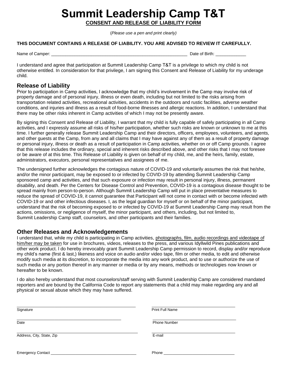# **Summit Leadership Camp T&T**

**CONSENT AND RELEASE OF LIABILITY FORM**

(*Please use a pen and print clearly)*

#### **THIS DOCUMENT CONTAINS A RELEASE OF LIABILITY. YOU ARE ADVISED TO REVIEW IT CAREFULLY.**

Name of Camper: \_\_\_\_\_\_\_\_\_\_\_\_\_\_\_\_\_\_\_\_\_\_\_\_\_\_\_\_\_\_\_\_\_\_\_\_\_\_\_\_\_\_\_\_\_\_\_\_\_\_\_\_\_\_\_\_\_\_ Date of Birth: \_\_\_\_\_\_\_\_\_\_\_\_\_

I understand and agree that participation at Summit Leadership Camp T&T is a privilege to which my child is not otherwise entitled. In consideration for that privilege, I am signing this Consent and Release of Liability for my underage child.

#### **Release of Liability**

Prior to participation in Camp activities, I acknowledge that my child's involvement in the Camp may involve risk of property damage and of personal injury, illness or even death, including but not limited to the risks arising from transportation related activities, recreational activities, accidents in the outdoors and rustic facilities, adverse weather conditions, and injuries and illness as a result of food-borne illnesses and allergic reactions. In addition, I understand that there may be other risks inherent in Camp activities of which I may not be presently aware.

By signing this Consent and Release of Liability, I warrant that my child is fully capable of safely participating in all Camp activities, and I expressly assume all risks of his/her participation, whether such risks are known or unknown to me at this time. I further generally release Summit Leadership Camp and their directors, officers, employees, volunteers, and agents, and other guests at the Camp, from any and all claims that I may have against any of them as a result of property damage or personal injury, illness or death as a result of participation in Camp activities, whether on or off Camp grounds. I agree that this release includes the ordinary, special and inherent risks described above, and other risks that I may not foresee or be aware of at this time. This Release of Liability is given on behalf of my child, me, and the heirs, family, estate, administrators, executors, personal representatives and assignees of me.

The undersigned further acknowledges the contagious nature of COVID-19 and voluntarily assumes the risk that he/she, and/or the minor participant, may be exposed to or infected by COVID-19 by attending Summit Leadership Camp sponsored camp and activities, and that such exposure or infection may result in personal injury, illness, permanent disability, and death. Per the Centers for Disease Control and Prevention, COVID-19 is a contagious disease thought to be spread mainly from person-to-person. Although Summit Leadership Camp will put in place preventative measures to reduce the spread of COVID-19, it cannot guarantee that Participant will not come in contact with or become infected with COVID-19 or and other infectious diseases. I, as the legal guardian for myself or on behalf of the minor participant, understand that the risk of becoming exposed to or infected by COVID-19 at Summit Leadership Camp may result from the actions, omissions, or negligence of myself, the minor participant, and others, including, but not limited to, Summit Leadership Camp staff, counselors, and other participants and their families.

#### **Other Releases and Acknowledgements**

I understand that, while my child is participating in Camp activities, photographs, film, audio recordings and videotape of him/her may be taken for use in brochures, videos, releases to the press, and various Idyllwild Pines publications and other work product. l do hereby irrevocably grant Summit Leadership Camp permission to record, display and/or reproduce my child's name (first & last,) likeness and voice on audio and/or video tape, film or other media, to edit and otherwise modify such media at its discretion, to incorporate the media into any work product, and to use or authorize the use of such media or any portion thereof in any manner or media or by any means, methods or technologies now known or hereafter to be known.

I do also hereby understand that most counselors/staff serving with Summit Leadership Camp are considered mandated reporters and are bound by the California Code to report any statements that a child may make regarding any and all physical or sexual abuse which they may have suffered.

| Signature                 | <b>Print Full Name</b>                                                                                                                                                                                                             |
|---------------------------|------------------------------------------------------------------------------------------------------------------------------------------------------------------------------------------------------------------------------------|
| Date                      | <b>Phone Number</b>                                                                                                                                                                                                                |
| Address, City, State, Zip | E-mail                                                                                                                                                                                                                             |
| Emergency Contact_        | <b>Phone Contract Contract Contract Contract Contract Contract Contract Contract Contract Contract Contract Contract Contract Contract Contract Contract Contract Contract Contract Contract Contract Contract Contract Contra</b> |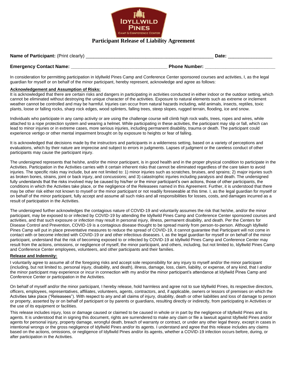

#### **Participant Release of Liability Agreement**

| Name of Participant: (Print clearly) | Date                 |  |  |  |
|--------------------------------------|----------------------|--|--|--|
| <b>Emergency Contact Name:</b>       | <b>Phone Number:</b> |  |  |  |

In consideration for permitting participation in Idyllwild Pines Camp and Conference Center sponsored courses and activities, I, as the legal guardian for myself or on behalf of the minor participant, hereby represent, acknowledge and agree as follows:

#### **Acknowledgement and Assumption of Risks:**

It is acknowledged that there are certain risks and dangers in participating in activities conducted in either indoor or the outdoor setting, which cannot be eliminated without destroying the unique character of the activities. Exposure to natural elements such as extreme or inclement weather cannot be controlled and may be harmful. Injuries can occur from natural hazards including, wild animals, insects, reptiles, toxic plants, loose or falling rocks, sharp rock edges, wood splinters, falling trees, steep slopes, rugged terrain, flooding, ice and snow.

Individuals who participate in any camp activity or are using the challenge course will climb high rock walls, trees, ropes and wires, while attached to a rope protection system and wearing a helmet. While participating in these activities, the participant may slip or fall, which can lead to minor injuries or in extreme cases, more serious injuries, including permanent disability, trauma or death. The participant could experience vertigo or other mental impairment brought on by exposure to heights or fear of falling.

It is acknowledged that decisions made by the instructors and participants in a wilderness setting, based on a variety of perceptions and evaluations, which by their nature are imprecise and subject to errors in judgments. Lapses of judgment or the careless conduct of other participants may cause the participant injury.

The undersigned represents that he/she, and/or the minor participant, is in good health and in the proper physical condition to participate in the Activities. Participation in the Activities carries with it certain inherent risks that cannot be eliminated regardless of the care taken to avoid injuries. The specific risks may include, but are not limited to: 1) minor injuries such as scratches, bruises, and sprains; 2) major injuries such as broken bones, strains, joint or back injury, and concussions; and 3) catastrophic injuries including paralysis and death. The undersigned fully understands that the risks involved may be caused by his/her or the minor participant's own actions, those of other participants, the conditions in which the Activities take place, or the negligence of the Releasees named in this Agreement. Further, it is understood that there may be other risk either not known to myself or the minor participant or not readily foreseeable at this time. I, as the legal guardian for myself or on behalf of the minor participant, fully accept and assume all such risks and all responsibilities for losses, costs, and damages incurred as a result of participation in the Activities.

The undersigned further acknowledges the contagious nature of COVID-19 and voluntarily assumes the risk that he/she, and/or the minor participant, may be exposed to or infected by COVID-19 by attending the Idyllwild Pines Camp and Conference Center sponsored courses and activities, and that such exposure or infection may result in personal injury, illness, permanent disability, and death. Per the Centers for Disease Control and Prevention, COVID-19 is a contagious disease thought to be spread mainly from person-to-person. Although Idyllwild Pines Camp will put in place preventative measures to reduce the spread of COVID-19, it cannot guarantee that Participant will not come in contact with or become infected with COVID-19 or and other infectious diseases. I, as the legal guardian for myself or on behalf of the minor participant, understand that the risk of becoming exposed to or infected by COVID-19 at Idyllwild Pines Camp and Conference Center may result from the actions, omissions, or negligence of myself, the minor participant, and others, including, but not limited to, Idyllwild Pines Camp and Conference Center employees, volunteers, and other participants and their families.

#### **Release and Indemnity:**

I voluntarily agree to assume all of the foregoing risks and accept sole responsibility for any injury to myself and/or the minor participant (including, but not limited to, personal injury, disability, and death), illness, damage, loss, claim, liability, or expense, of any kind, that I and/or the minor participant may experience or incur in connection with my and/or the minor participant's attendance at Idyllwild Pines Camp and Conference Center or participation in the Activities.

On behalf of myself and/or the minor participant, I hereby release, hold harmless and agree not to sue Idyllwild Pines, its respective directors, officers, employees, representatives, affiliates, volunteers, agents, contractors, and, if applicable, owners or lessors of premises on which the Activities take place ("Releasees"). With respect to any and all claims of injury, disability, death or other liabilities and loss of damage to person or property, asserted by or on behalf of participant or by parents or guardians, resulting directly or indirectly, from participating in Activities or the use of its equipment or facilities.

This release includes injury, loss or damage caused or claimed to be caused in whole or in part by the negligence of Idyllwild Pines and its agents. It is understood that in signing this document, rights are surrendered to make any claim or file a lawsuit against Idyllwild Pines and/or agents for personal injury, property damage, wrongful death, breach of warranty or contract, or under any other legal theory, except in cases in intentional wrongs or the gross negligence of Idyllwild Pines and/or its agents. I understand and agree that this release includes any claims based on the actions, omissions, or negligence of Idyllwild Pines and/or its agents, whether a COVID-19 infection occurs before, during, or after participation in the Activities.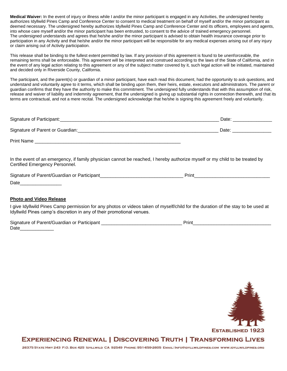**Medical Waiver:** In the event of injury or illness while I and/or the minor participant is engaged in any Activities, the undersigned hereby authorizes Idyllwild Pines Camp and Conference Center to consent to medical treatment on behalf of myself and/or the minor participant as deemed necessary. The undersigned hereby authorizes Idyllwild Pines Camp and Conference Center and its officers, employees and agents, into whose care myself and/or the minor participant has been entrusted, to consent to the advice of trained emergency personnel. The undersigned understands and agrees that he/she and/or the minor participant is advised to obtain health insurance coverage prior to participation in any Activity and that he/she and/or the minor participant will be responsible for any medical expenses arising out of any injury or claim arising out of Activity participation.

This release shall be binding to the fullest extent permitted by law. If any provision of this agreement is found to be unenforceable, the remaining terms shall be enforceable. This agreement will be interpreted and construed according to the laws of the State of California, and in the event of any legal action relating to this agreement or any of the subject matter covered by it, such legal action will be initiated, maintained and decided only in Riverside County, California.

The participant, and the parent(s) or guardian of a minor participant, have each read this document, had the opportunity to ask questions, and understand and voluntarily agree to it terms, which shall be binding upon them, their heirs, estate, executors and administrators. The parent or guardian confirms that they have the authority to make this commitment. The undersigned fully understands that with this assumption of risk, release and waiver of liability and indemnity agreement, that the undersigned is giving up substantial rights in connection therewith, and that its terms are contractual, and not a mere recital. The undersigned acknowledge that he/she is signing this agreement freely and voluntarily.

| Signature of Participant:        | Date: |
|----------------------------------|-------|
| Signature of Parent or Guardian: | Date: |
| <b>Print Name</b>                |       |

In the event of an emergency, if family physician cannot be reached, I hereby authorize myself or my child to be treated by Certified Emergency Personnel.

| <b>Sign</b><br>ΩT<br>ΩF<br>ΤР.<br>m |  |
|-------------------------------------|--|
| Date                                |  |

#### **Photo and Video Release**

I give Idyllwild Pines Camp permission for any photos or videos taken of myself/child for the duration of the stay to be used at Idyllwild Pines camp's discretion in any of their promotional venues.

| Signature of Parent/Guardian or Participant | 'rınt |
|---------------------------------------------|-------|
| Date                                        |       |



### **EXPERIENCING RENEWAL | DISCOVERING TRUTH | TRANSFORMING LIVES**

26375 STATE HWY 243 P.O. Box 425 IDYLLWILD CA 92549 PHONE: 951-659-2605 EMAIL: INFO@IDYLLWILDPINES.COM WWW.IDYLLWILDPINES.ORG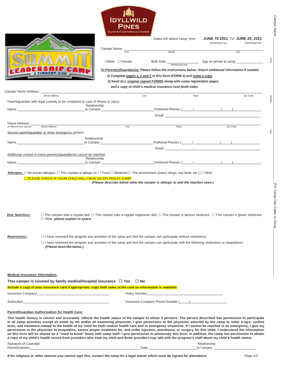

|                | Camper Name:              | Dates will attend camp: from                                         | <b>JUNE 19 2021 TO JUNE 25, 2021</b><br>Month/Day/Year<br>Month/Day/Year                                 |
|----------------|---------------------------|----------------------------------------------------------------------|----------------------------------------------------------------------------------------------------------|
|                | First                     | Middle                                                               | Last                                                                                                     |
|                | $\Box$ Male $\Box$ Female | <b>Birth Date</b><br>Month/Day/Year                                  | Age on arrival at camp:                                                                                  |
| ERSAIP<br>C7   |                           |                                                                      | To Parent(s)/Guardian(s): Please follow the instructions below. Attach additional information if needed. |
| 2 TIMOTHY 2:15 |                           |                                                                      |                                                                                                          |
|                |                           | 1) Complete pages 1, 2 and 3 of this form (FORM 1) and make a copy.  |                                                                                                          |
|                |                           | 2) Send ALL original signed FORMS along with camp registration pages |                                                                                                          |
|                |                           | and a copy of child's medical insurance card (both sides             |                                                                                                          |

|                           | Camper Home Address: The Campion of the Campion of the Campion of the Campion of the Campion of the Campion of the Campion of the Campion of the Campion of the Campion of the Campion of the Campion of the Campion of the Ca |                                                                                                                                                                                                                                                |      |       |                                                                                                                                                                                                                                                             |
|---------------------------|--------------------------------------------------------------------------------------------------------------------------------------------------------------------------------------------------------------------------------|------------------------------------------------------------------------------------------------------------------------------------------------------------------------------------------------------------------------------------------------|------|-------|-------------------------------------------------------------------------------------------------------------------------------------------------------------------------------------------------------------------------------------------------------------|
|                           | <b>Street Address</b>                                                                                                                                                                                                          |                                                                                                                                                                                                                                                | City | State | Zip Code                                                                                                                                                                                                                                                    |
|                           | Parent/quardian with legal custody to be contacted in case of illness or injury:                                                                                                                                               | Relationship                                                                                                                                                                                                                                   |      |       |                                                                                                                                                                                                                                                             |
|                           |                                                                                                                                                                                                                                | to Camper: to Camper and the Camper of the Camper of the Camper of the Camper of the Camper of the Camper of the Camper of the Camper of the Camper of the Camper of the Camper of the Camper of the Camper of the Camper of t                 |      |       | Preferred Phones: ( ) ( )                                                                                                                                                                                                                                   |
|                           |                                                                                                                                                                                                                                |                                                                                                                                                                                                                                                |      |       | Email: Email: Email: Email: Email: Email: Email: Email: Email: Email: Email: Email: Email: Email: Email: Email: Email: Email: Email: Email: Email: Email: Email: Email: Email: Email: Email: Email: Email: Email: Email: Email                              |
| (If different from above) | <b>Street Address</b>                                                                                                                                                                                                          | City                                                                                                                                                                                                                                           |      | State | Zip Code                                                                                                                                                                                                                                                    |
|                           | Second parent/guardian or other emergency contact:                                                                                                                                                                             |                                                                                                                                                                                                                                                |      |       |                                                                                                                                                                                                                                                             |
|                           | Name: Name and the state of the state of the state of the state of the state of the state of the state of the state of the state of the state of the state of the state of the state of the state of the state of the state of | Relationship<br>to Camper: to Camper and the Camper of the Camper of the Camper of the Camper of the Camper of the Camper of the Camper of the Camper of the Camper of the Camper of the Camper of the Camper of the Camper of the Camper of t |      |       | Preferred Phones: ( ) ( )<br>Email: Email: All and the state of the state of the state of the state of the state of the state of the state of the state of the state of the state of the state of the state of the state of the state of the state of the s |
|                           | Additional contact in event parent(s)/quardian(s) cannot be reached:                                                                                                                                                           | Relationship                                                                                                                                                                                                                                   |      |       |                                                                                                                                                                                                                                                             |
|                           |                                                                                                                                                                                                                                | to Camper: to Camper and the Camper of the Camper of the Camper of the Camper of the Camper of the Camper of the Camper of the Camper of the Camper of the Camper of the Camper of the Camper of the Camper of the Camper of t                 |      |       | Preferred Phones: ( ) ( )                                                                                                                                                                                                                                   |

**Allergies:** □ No known allergies. □ This camper is allergic to: □ Food □ Medicine □ The environment (insect stings, hay fever, etc.) □ Other

| □ PLEASE CHECK IF YOUR CHILD WILL HAVE AN EPI-PEN AT CAMP                     |
|-------------------------------------------------------------------------------|
| (Please describe below what the camper is allergic to and the reaction seen.) |
|                                                                               |
|                                                                               |
|                                                                               |
|                                                                               |

- Diet, Nutrition: □ This camper eats a regular diet. □ This camper eats a regular vegetarian diet. □ This camper is lactose intolerant. □ This camper is gluten intolerant. Other, *please explain in space.*
- 

**Restrictions:** I have reviewed the program and activities of the camp and feel the camper can participate without restrictions.  $\Box$  I have reviewed the program and activities of the camp and feel the camper can participate with the following restrictions or adaptations. *(Please describe below.)*

**Medical Insurance Information:**

**This** camper is covered by family medical/hospital insurance  $□$  Yes  $□$  No

|                   | Include a copy of your insurance card if appropriate; copy both sides of the card so information is readable. |
|-------------------|---------------------------------------------------------------------------------------------------------------|
| Insurance Company | <b>Policy Number</b>                                                                                          |

Subscriber **Insurance Company Phone Number (** ) and the United States of the United States of the United States of the United States of the United States of the United States of the United States of the United States of th

#### **Parent/Guardian Authorization for Health Care:**

This health history is correct and accurately reflects the health status of the camper to whom it pertains. The person described has permission to participate in all camp activities except as noted by me and/or an examining physician. I give permission to the physician selected by the camp to order x-rays, routine tests, and treatment related to the health of my child for both routine health care and in emergency situations. If I cannot be reached in an emergency, I give my permission to the physician to hospitalize, secure proper treatment for, and order injection, anesthesia, or surgery for this child. I understand the information on this form will be shared on a "need to know" basis with camp staff. I give permission to photocopy this form. In addition, the camp has permission to obtain a copy of my child's health record from providers who treat my child and these providers may talk with the program's staff about my child's health status.

Signature of Custodial **Relationship** Relationship

Parent/Guardian to Camper: to Camper: to Camper: to Camper: to Camper: to Camper: to Camper: to Camper: to Camper: to Camper: to Camper: to Camper: to Camper: to Camper: to Camper: to Camper: to Camper: to Camper: to Campe

(For Camp

Camper Name

**Camper Name** 

First

Middle

Last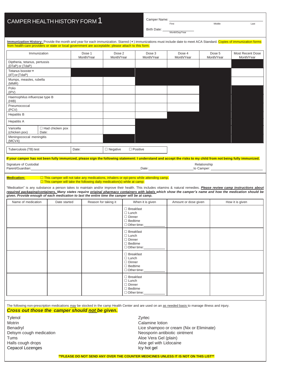### CAMPER HEALTH HISTORY FORM 1

Camper Name: First

Birth Date:

First Last

Month/Day/Year

|                                                                                                     | Immunization History: Provide the month and year for each immunization. Starred (*) immunizations must include date to meet ACA Standard. Copies of immunization forms |                      |                      |                      |                      |                      |                                |
|-----------------------------------------------------------------------------------------------------|------------------------------------------------------------------------------------------------------------------------------------------------------------------------|----------------------|----------------------|----------------------|----------------------|----------------------|--------------------------------|
| from health-care providers or state or local government are acceptable; please attach to this form. |                                                                                                                                                                        |                      |                      |                      |                      |                      |                                |
|                                                                                                     | Immunization                                                                                                                                                           | Dose 1<br>Month/Year | Dose 2<br>Month/Year | Dose 3<br>Month/Year | Dose 4<br>Month/Year | Dose 5<br>Month/Year | Most Recent Dose<br>Month/Year |
| Diptheria, tetanus, pertussis<br>(DTaP) or (TdaP)                                                   |                                                                                                                                                                        |                      |                      |                      |                      |                      |                                |
| Tetanus booster *<br>(dT) or (TdaP)                                                                 |                                                                                                                                                                        |                      |                      |                      |                      |                      |                                |
| Mumps, measles, rubella<br>(MMR)                                                                    |                                                                                                                                                                        |                      |                      |                      |                      |                      |                                |
| Polio<br>(IPV)                                                                                      |                                                                                                                                                                        |                      |                      |                      |                      |                      |                                |
| Haemophilus influenzae type B<br>(HIB)                                                              |                                                                                                                                                                        |                      |                      |                      |                      |                      |                                |
| Pneumococcal<br>(PCV)                                                                               |                                                                                                                                                                        |                      |                      |                      |                      |                      |                                |
| <b>Hepatitis B</b>                                                                                  |                                                                                                                                                                        |                      |                      |                      |                      |                      |                                |
| <b>Hepatitis A</b>                                                                                  |                                                                                                                                                                        |                      |                      |                      |                      |                      |                                |
| Varicella<br>(chicken pox)                                                                          | $\Box$ Had chicken pox<br>Date:                                                                                                                                        |                      |                      |                      |                      |                      |                                |
| Meningococcal meningitis<br>(MCV4)                                                                  |                                                                                                                                                                        |                      |                      |                      |                      |                      |                                |

#### Tuberculosis (TB) test Date: Date: Date: Date: Degative Dositive

#### If your camper has not been fully immunized, please sign the following statement: I understand and accept the risks to my child from not being fully immunized.

| Signature of Custodial |      | Relationship  |
|------------------------|------|---------------|
| Parent/Guardian:       | Date | Camper:<br>to |
|                        |      |               |

#### Medication:  $\square$  This camper will not take any medications, inhalers or epi-pens while attending camp.  $\Box$  This camper will take the following daily medication(s) while at camp:

"Medication" is any substance a person takes to maintain and/or improve their health. This includes vitamins & natural remedies. *Please review camp instructions about* required packaging/containers. Many states require original pharmacy containers with labels which show the camper's name and how the medication should be *given. Provide enough of each medication to last the entire time the camper will be at camp.*

| Name of medication | Date started | Reason for taking it | When it is given                                                                          | Amount or dose given | How it is given |
|--------------------|--------------|----------------------|-------------------------------------------------------------------------------------------|----------------------|-----------------|
|                    |              |                      | $\Box$ Breakfast<br>$\Box$ Lunch<br>$\Box$ Dinner<br>$\Box$ Bedtime<br>$\Box$ Other time: |                      |                 |
|                    |              |                      | $\Box$ Breakfast<br>$\Box$ Lunch<br>$\Box$ Dinner<br>$\Box$ Bedtime<br>Other time:        |                      |                 |
|                    |              |                      | $\Box$ Breakfast<br>$\Box$ Lunch<br>$\Box$ Dinner<br>$\Box$ Bedtime<br>$\Box$ Other time: |                      |                 |
|                    |              |                      | $\Box$ Breakfast<br>$\Box$ Lunch<br>$\Box$ Dinner<br>$\Box$ Bedtime<br>Other time:        |                      |                 |

The following non-prescription medications *may* be stocked in the camp Health Center and are used on an as needed basis to manage illness and injury. *Cross out those the camper should not be given.*

Tylenol Zyrtec Motrin Calamine lotion **Calamine lotion** Tums **Aloe Vera Gel (plain)** Halls cough drops **Aloe gel with Lidocaine** Aloe gel with Lidocaine Cepacol Lozenges **Icy hot gel** and the contract of the contract of the contract of the contract of the contract of the contract of the contract of the contract of the contract of the contract of the contract of the contrac

Benadryl **Benadryl Lice shampoo or cream (Nix or Eliminate)** Delsym cough medication **Network** Neosporin antibiotic ointment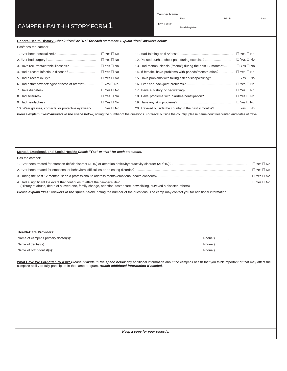Camper Name: First

Birth Date: Month/Day/Year

First Last

#### **General Health History:** *Check "Yes" or "No" for each statement. Explain "Yes" answers below.*

Has/does the camper:

|                                                    | $\Box$ Yes $\Box$ No |                                                           |                      |
|----------------------------------------------------|----------------------|-----------------------------------------------------------|----------------------|
|                                                    | $\Box$ Yes $\Box$ No | 12. Passed out/had chest pain during exercise?            | $\Box$ Yes $\Box$ No |
|                                                    | $\Box$ Yes $\Box$ No | 13. Had mononucleosis ("mono") during the past 12 months? | $\Box$ Yes $\Box$ No |
|                                                    | $\Box$ Yes $\Box$ No | 14. If female, have problems with periods/menstruation?   | $\Box$ Yes $\Box$ No |
|                                                    | $\Box$ Yes $\Box$ No | 15. Have problems with falling as eep/sleepwalking?       | $\Box$ Yes $\Box$ No |
| 6. Had asthma/wheezing/shortness of breath?        | $\Box$ Yes $\Box$ No |                                                           | $\Box$ Yes $\Box$ No |
|                                                    | $\Box$ Yes $\Box$ No |                                                           | $\Box$ Yes $\Box$ No |
|                                                    | $\Box$ Yes $\Box$ No |                                                           | $\Box$ Yes $\Box$ No |
|                                                    | $\Box$ Yes $\Box$ No |                                                           | $\Box$ Yes $\Box$ No |
| 10. Wear glasses, contacts, or protective eyewear? | $\Box$ Yes $\Box$ No | 20. Traveled outside the country in the past 9 months?    | $\Box$ Yes $\Box$ No |

*Please explain "Yes" answers in the space below,* noting the number of the questions. For travel outside the country, please name countries visited and dates of travel.

#### **Mental, Emotional, and Social Health:** *Check "Yes" or "No" for each statement.*

Has the camper:

|                                                                                                                          | $\Box$ Yes $\Box$ No |
|--------------------------------------------------------------------------------------------------------------------------|----------------------|
|                                                                                                                          | $\Box$ Yes $\Box$ No |
| (History of abuse, death of a loved one, family change, adoption, foster care, new sibling, survived a disaster, others) | $\Box$ Yes $\Box$ No |

*Please explain "Yes" answers in the space below,* noting the number of the questions. The camp may contact you for additional information.

#### **Health-Care Providers:**

| Name of camper's primary doctor(s): | Phone: ( |
|-------------------------------------|----------|
| Name of dentist(s):                 | Phone: ( |
| Name of orthodontist(s):            | Phone: ( |

What Have We Forgotten to Ask? Please provide in the space below any additional information about the camper's health that you think important or that may affect the camper's ability to fully participate in the camp program. *Attach additional information if needed*.

*Keep a copy for your records.*